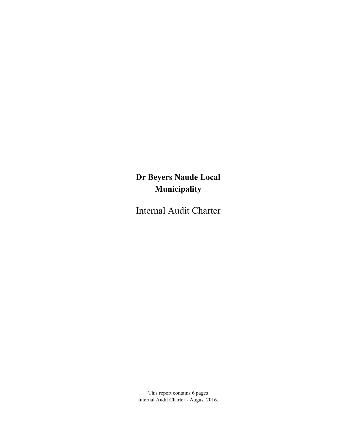# Dr Beyers Naude Local Municipality

Internal Audit Charter

This report contains 6 pages Internal Audit Charter - August 2016.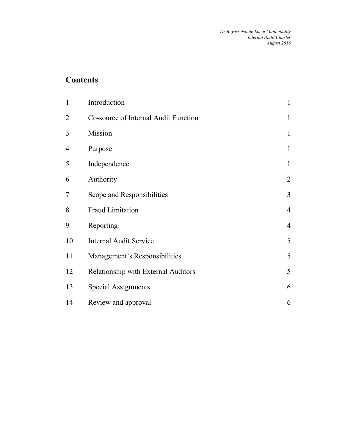### **Contents**

| $\mathbf{1}$   | Introduction                         | $\mathbf{1}$   |
|----------------|--------------------------------------|----------------|
| $\overline{2}$ | Co-source of Internal Audit Function | $\mathbf{1}$   |
| 3              | Mission                              | $\mathbf{1}$   |
| $\overline{4}$ | Purpose                              | $\mathbf{1}$   |
| 5              | Independence                         | $\mathbf{1}$   |
| 6              | Authority                            | $\overline{2}$ |
| 7              | Scope and Responsibilities           | 3              |
| 8              | <b>Fraud Limitation</b>              | $\overline{4}$ |
| 9              | Reporting                            | $\overline{4}$ |
| 10             | <b>Internal Audit Service</b>        | 5              |
| 11             | Management's Responsibilities        | 5              |
| 12             | Relationship with External Auditors  | 5              |
| 13             | Special Assignments                  | 6              |
| 14             | Review and approval                  | 6              |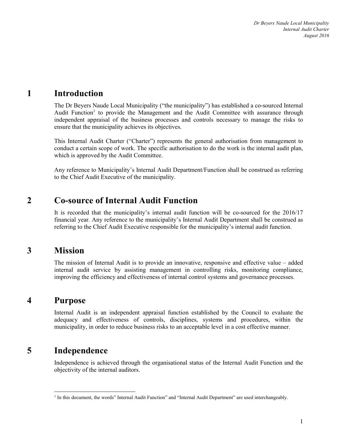# 1 Introduction

The Dr Beyers Naude Local Municipality ("the municipality") has established a co-sourced Internal Audit Function<sup>1</sup> to provide the Management and the Audit Committee with assurance through independent appraisal of the business processes and controls necessary to manage the risks to ensure that the municipality achieves its objectives.

This Internal Audit Charter ("Charter") represents the general authorisation from management to conduct a certain scope of work. The specific authorisation to do the work is the internal audit plan, which is approved by the Audit Committee.

Any reference to Municipality's Internal Audit Department/Function shall be construed as referring to the Chief Audit Executive of the municipality.

#### 2 Co-source of Internal Audit Function

It is recorded that the municipality's internal audit function will be co-sourced for the 2016/17 financial year. Any reference to the municipality's Internal Audit Department shall be construed as referring to the Chief Audit Executive responsible for the municipality's internal audit function.

#### 3 Mission

The mission of Internal Audit is to provide an innovative, responsive and effective value – added internal audit service by assisting management in controlling risks, monitoring compliance, improving the efficiency and effectiveness of internal control systems and governance processes.

#### 4 Purpose

-

Internal Audit is an independent appraisal function established by the Council to evaluate the adequacy and effectiveness of controls, disciplines, systems and procedures, within the municipality, in order to reduce business risks to an acceptable level in a cost effective manner.

#### 5 Independence

Independence is achieved through the organisational status of the Internal Audit Function and the objectivity of the internal auditors.

<sup>&</sup>lt;sup>1</sup> In this document, the words" Internal Audit Function" and "Internal Audit Department" are used interchangeably.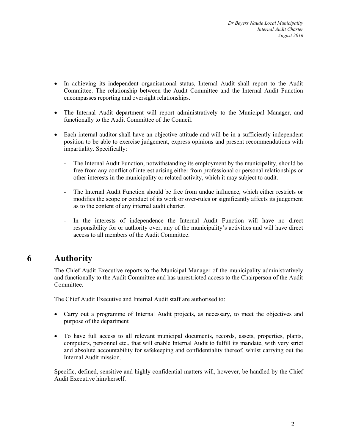- In achieving its independent organisational status, Internal Audit shall report to the Audit Committee. The relationship between the Audit Committee and the Internal Audit Function encompasses reporting and oversight relationships.
- The Internal Audit department will report administratively to the Municipal Manager, and functionally to the Audit Committee of the Council.
- Each internal auditor shall have an objective attitude and will be in a sufficiently independent position to be able to exercise judgement, express opinions and present recommendations with impartiality. Specifically:
	- The Internal Audit Function, notwithstanding its employment by the municipality, should be free from any conflict of interest arising either from professional or personal relationships or other interests in the municipality or related activity, which it may subject to audit.
	- The Internal Audit Function should be free from undue influence, which either restricts or modifies the scope or conduct of its work or over-rules or significantly affects its judgement as to the content of any internal audit charter.
	- In the interests of independence the Internal Audit Function will have no direct responsibility for or authority over, any of the municipality's activities and will have direct access to all members of the Audit Committee.

# 6 Authority

The Chief Audit Executive reports to the Municipal Manager of the municipality administratively and functionally to the Audit Committee and has unrestricted access to the Chairperson of the Audit Committee.

The Chief Audit Executive and Internal Audit staff are authorised to:

- Carry out a programme of Internal Audit projects, as necessary, to meet the objectives and purpose of the department
- To have full access to all relevant municipal documents, records, assets, properties, plants, computers, personnel etc., that will enable Internal Audit to fulfill its mandate, with very strict and absolute accountability for safekeeping and confidentiality thereof, whilst carrying out the Internal Audit mission.

Specific, defined, sensitive and highly confidential matters will, however, be handled by the Chief Audit Executive him/herself.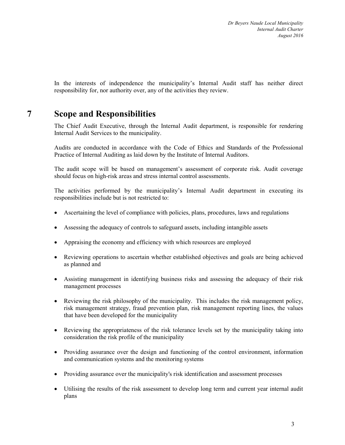In the interests of independence the municipality's Internal Audit staff has neither direct responsibility for, nor authority over, any of the activities they review.

### 7 Scope and Responsibilities

The Chief Audit Executive, through the Internal Audit department, is responsible for rendering Internal Audit Services to the municipality.

Audits are conducted in accordance with the Code of Ethics and Standards of the Professional Practice of Internal Auditing as laid down by the Institute of Internal Auditors.

The audit scope will be based on management's assessment of corporate risk. Audit coverage should focus on high-risk areas and stress internal control assessments.

The activities performed by the municipality's Internal Audit department in executing its responsibilities include but is not restricted to:

- Ascertaining the level of compliance with policies, plans, procedures, laws and regulations
- Assessing the adequacy of controls to safeguard assets, including intangible assets
- Appraising the economy and efficiency with which resources are employed
- Reviewing operations to ascertain whether established objectives and goals are being achieved as planned and
- Assisting management in identifying business risks and assessing the adequacy of their risk management processes
- Reviewing the risk philosophy of the municipality. This includes the risk management policy, risk management strategy, fraud prevention plan, risk management reporting lines, the values that have been developed for the municipality
- Reviewing the appropriateness of the risk tolerance levels set by the municipality taking into consideration the risk profile of the municipality
- Providing assurance over the design and functioning of the control environment, information and communication systems and the monitoring systems
- Providing assurance over the municipality's risk identification and assessment processes
- Utilising the results of the risk assessment to develop long term and current year internal audit plans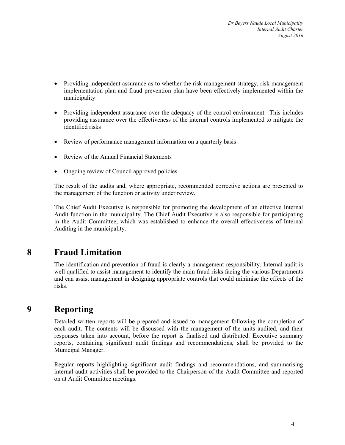- Providing independent assurance as to whether the risk management strategy, risk management implementation plan and fraud prevention plan have been effectively implemented within the municipality
- Providing independent assurance over the adequacy of the control environment. This includes providing assurance over the effectiveness of the internal controls implemented to mitigate the identified risks
- Review of performance management information on a quarterly basis
- Review of the Annual Financial Statements
- Ongoing review of Council approved policies.

The result of the audits and, where appropriate, recommended corrective actions are presented to the management of the function or activity under review.

The Chief Audit Executive is responsible for promoting the development of an effective Internal Audit function in the municipality. The Chief Audit Executive is also responsible for participating in the Audit Committee, which was established to enhance the overall effectiveness of Internal Auditing in the municipality.

#### 8 Fraud Limitation

The identification and prevention of fraud is clearly a management responsibility. Internal audit is well qualified to assist management to identify the main fraud risks facing the various Departments and can assist management in designing appropriate controls that could minimise the effects of the risks.

#### 9 Reporting

Detailed written reports will be prepared and issued to management following the completion of each audit. The contents will be discussed with the management of the units audited, and their responses taken into account, before the report is finalised and distributed. Executive summary reports, containing significant audit findings and recommendations, shall be provided to the Municipal Manager.

Regular reports highlighting significant audit findings and recommendations, and summarising internal audit activities shall be provided to the Chairperson of the Audit Committee and reported on at Audit Committee meetings.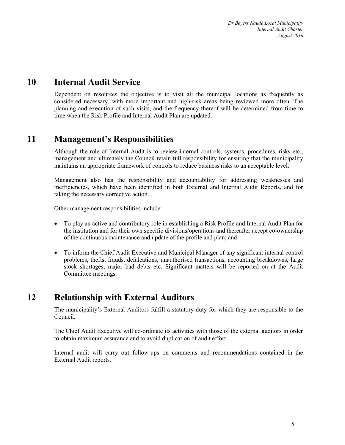### 10 Internal Audit Service

Dependent on resources the objective is to visit all the municipal locations as frequently as considered necessary, with more important and high-risk areas being reviewed more often. The planning and execution of such visits, and the frequency thereof will be determined from time to time when the Risk Profile and Internal Audit Plan are updated.

#### 11 Management's Responsibilities

Although the role of Internal Audit is to review internal controls, systems, procedures, risks etc., management and ultimately the Council retain full responsibility for ensuring that the municipality maintains an appropriate framework of controls to reduce business risks to an acceptable level.

Management also has the responsibility and accountability for addressing weaknesses and inefficiencies, which have been identified in both External and Internal Audit Reports, and for taking the necessary corrective action.

Other management responsibilities include:

- To play an active and contributory role in establishing a Risk Profile and Internal Audit Plan for the institution and for their own specific divisions/operations and thereafter accept co-ownership of the continuous maintenance and update of the profile and plan; and
- To inform the Chief Audit Executive and Municipal Manager of any significant internal control problems, thefts, frauds, defalcations, unauthorised transactions, accounting breakdowns, large stock shortages, major bad debts etc. Significant matters will be reported on at the Audit Committee meetings.

#### 12 Relationship with External Auditors

The municipality's External Auditors fulfill a statutory duty for which they are responsible to the Council.

The Chief Audit Executive will co-ordinate its activities with those of the external auditors in order to obtain maximum assurance and to avoid duplication of audit effort.

Internal audit will carry out follow-ups on comments and recommendations contained in the External Audit reports.